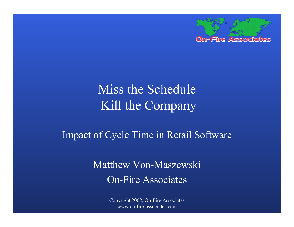

# Miss the Schedule Kill the Company

#### Impact of Cycle Time in Retail Software

### Matthew Von-Maszewski On-Fire Associates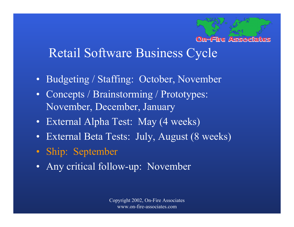#### **On-Fire Associates**

### Retail Software Business Cycle

- Budgeting / Staffing: October, November
- Concepts / Brainstorming / Prototypes: November, December, January
- External Alpha Test: May (4 weeks)
- External Beta Tests: July, August (8 weeks)
- Ship: September
- Any critical follow-up: November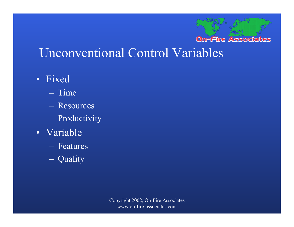#### **On-Fire Associates**

### Unconventional Control Variables

- Fixed
	- Time
	- Resources
	- **London Maria Barbara** Productivity
- Variable
	- Features
	- $\sim$ Quality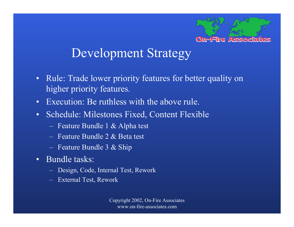

# Development Strategy

- • Rule: Trade lower priority features for better quality on higher priority features.
- Execution: Be ruthless with the above rule.
- $\bullet$  Schedule: Milestones Fixed, Content Flexible
	- **Little Controller Controller** Feature Bundle 1 & Alpha test
	- Feature Bundle 2 & Beta test
	- Feature Bundle 3 & Ship
- Bundle tasks:
	- Design, Code, Internal Test, Rework
	- External Test, Rework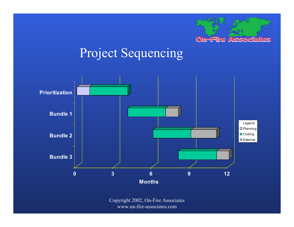

# Project Sequencing

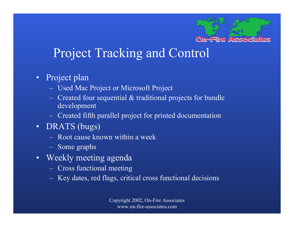#### **On-Fire Associates**

## Project Tracking and Control

- Project plan
	- $-$ Used Mac Project or Microsoft Project
	- and the contract of the contract of Created four sequential & traditional projects for bundle development
	- and the contract of the contract of Created fifth parallel project for printed documentation
- DRATS (bugs)
	- Root cause known within a week
	- Some graphs
- Weekly meeting agenda
	- $-$ Cross functional meeting
	- –Key dates, red flags, critical cross functional decisions